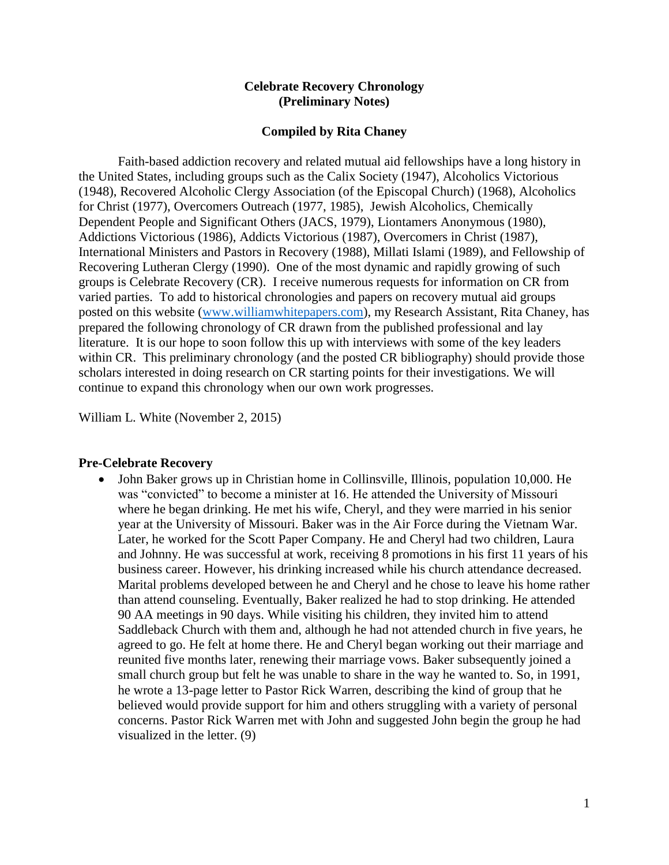#### **Celebrate Recovery Chronology (Preliminary Notes)**

#### **Compiled by Rita Chaney**

Faith-based addiction recovery and related mutual aid fellowships have a long history in the United States, including groups such as the Calix Society (1947), Alcoholics Victorious (1948), Recovered Alcoholic Clergy Association (of the Episcopal Church) (1968), Alcoholics for Christ (1977), Overcomers Outreach (1977, 1985), Jewish Alcoholics, Chemically Dependent People and Significant Others (JACS, 1979), Liontamers Anonymous (1980), Addictions Victorious (1986), Addicts Victorious (1987), Overcomers in Christ (1987), International Ministers and Pastors in Recovery (1988), Millati Islami (1989), and Fellowship of Recovering Lutheran Clergy (1990). One of the most dynamic and rapidly growing of such groups is Celebrate Recovery (CR). I receive numerous requests for information on CR from varied parties. To add to historical chronologies and papers on recovery mutual aid groups posted on this website [\(www.williamwhitepapers.com\)](http://www.williamwhitepapers.com/), my Research Assistant, Rita Chaney, has prepared the following chronology of CR drawn from the published professional and lay literature. It is our hope to soon follow this up with interviews with some of the key leaders within CR. This preliminary chronology (and the posted CR bibliography) should provide those scholars interested in doing research on CR starting points for their investigations. We will continue to expand this chronology when our own work progresses.

William L. White (November 2, 2015)

#### **Pre-Celebrate Recovery**

• John Baker grows up in Christian home in Collinsville, Illinois, population 10,000. He was "convicted" to become a minister at 16. He attended the University of Missouri where he began drinking. He met his wife, Cheryl, and they were married in his senior year at the University of Missouri. Baker was in the Air Force during the Vietnam War. Later, he worked for the Scott Paper Company. He and Cheryl had two children, Laura and Johnny. He was successful at work, receiving 8 promotions in his first 11 years of his business career. However, his drinking increased while his church attendance decreased. Marital problems developed between he and Cheryl and he chose to leave his home rather than attend counseling. Eventually, Baker realized he had to stop drinking. He attended 90 AA meetings in 90 days. While visiting his children, they invited him to attend Saddleback Church with them and, although he had not attended church in five years, he agreed to go. He felt at home there. He and Cheryl began working out their marriage and reunited five months later, renewing their marriage vows. Baker subsequently joined a small church group but felt he was unable to share in the way he wanted to. So, in 1991, he wrote a 13-page letter to Pastor Rick Warren, describing the kind of group that he believed would provide support for him and others struggling with a variety of personal concerns. Pastor Rick Warren met with John and suggested John begin the group he had visualized in the letter. (9)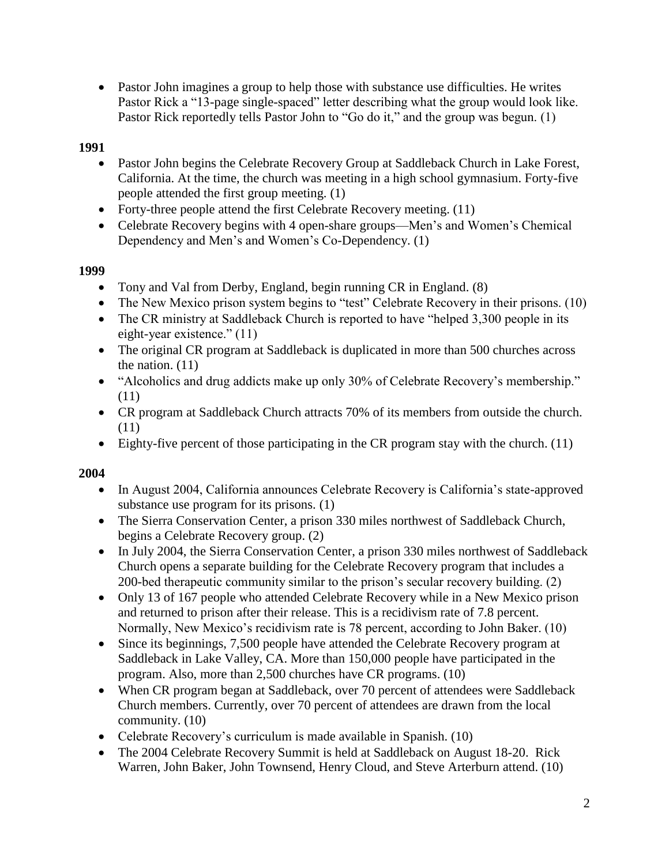• Pastor John imagines a group to help those with substance use difficulties. He writes Pastor Rick a "13-page single-spaced" letter describing what the group would look like. Pastor Rick reportedly tells Pastor John to "Go do it," and the group was begun. (1)

# **1991**

- Pastor John begins the Celebrate Recovery Group at Saddleback Church in Lake Forest, California. At the time, the church was meeting in a high school gymnasium. Forty-five people attended the first group meeting. (1)
- Forty-three people attend the first Celebrate Recovery meeting. (11)
- Celebrate Recovery begins with 4 open-share groups—Men's and Women's Chemical Dependency and Men's and Women's Co-Dependency. (1)

## **1999**

- Tony and Val from Derby, England, begin running CR in England. (8)
- The New Mexico prison system begins to "test" Celebrate Recovery in their prisons. (10)
- The CR ministry at Saddleback Church is reported to have "helped 3,300 people in its eight-year existence." (11)
- The original CR program at Saddleback is duplicated in more than 500 churches across the nation. (11)
- "Alcoholics and drug addicts make up only 30% of Celebrate Recovery's membership." (11)
- CR program at Saddleback Church attracts 70% of its members from outside the church. (11)
- Eighty-five percent of those participating in the CR program stay with the church.  $(11)$

#### **2004**

- In August 2004, California announces Celebrate Recovery is California's state-approved substance use program for its prisons. (1)
- The Sierra Conservation Center, a prison 330 miles northwest of Saddleback Church, begins a Celebrate Recovery group. (2)
- In July 2004, the Sierra Conservation Center, a prison 330 miles northwest of Saddleback Church opens a separate building for the Celebrate Recovery program that includes a 200-bed therapeutic community similar to the prison's secular recovery building. (2)
- Only 13 of 167 people who attended Celebrate Recovery while in a New Mexico prison and returned to prison after their release. This is a recidivism rate of 7.8 percent. Normally, New Mexico's recidivism rate is 78 percent, according to John Baker. (10)
- Since its beginnings, 7,500 people have attended the Celebrate Recovery program at Saddleback in Lake Valley, CA. More than 150,000 people have participated in the program. Also, more than 2,500 churches have CR programs. (10)
- When CR program began at Saddleback, over 70 percent of attendees were Saddleback Church members. Currently, over 70 percent of attendees are drawn from the local community. (10)
- Celebrate Recovery's curriculum is made available in Spanish. (10)
- The 2004 Celebrate Recovery Summit is held at Saddleback on August 18-20. Rick Warren, John Baker, John Townsend, Henry Cloud, and Steve Arterburn attend. (10)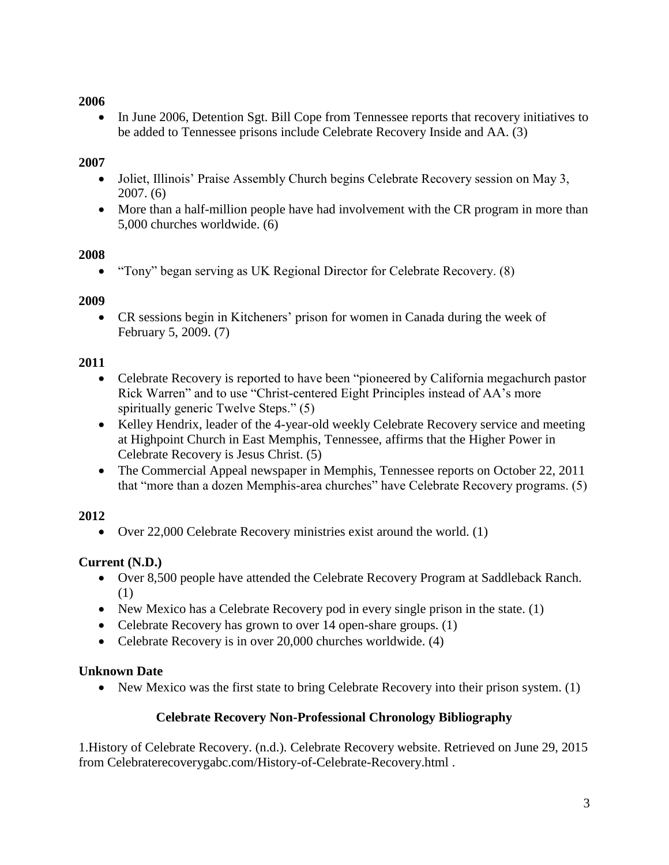## **2006**

• In June 2006, Detention Sgt. Bill Cope from Tennessee reports that recovery initiatives to be added to Tennessee prisons include Celebrate Recovery Inside and AA. (3)

### **2007**

- Joliet, Illinois' Praise Assembly Church begins Celebrate Recovery session on May 3, 2007. (6)
- More than a half-million people have had involvement with the CR program in more than 5,000 churches worldwide. (6)

#### **2008**

"Tony" began serving as UK Regional Director for Celebrate Recovery. (8)

#### **2009**

 CR sessions begin in Kitcheners' prison for women in Canada during the week of February 5, 2009. (7)

#### **2011**

- Celebrate Recovery is reported to have been "pioneered by California megachurch pastor Rick Warren" and to use "Christ-centered Eight Principles instead of AA's more spiritually generic Twelve Steps." (5)
- Kelley Hendrix, leader of the 4-year-old weekly Celebrate Recovery service and meeting at Highpoint Church in East Memphis, Tennessee, affirms that the Higher Power in Celebrate Recovery is Jesus Christ. (5)
- The Commercial Appeal newspaper in Memphis, Tennessee reports on October 22, 2011 that "more than a dozen Memphis-area churches" have Celebrate Recovery programs. (5)

#### **2012**

• Over 22,000 Celebrate Recovery ministries exist around the world. (1)

# **Current (N.D.)**

- Over 8,500 people have attended the Celebrate Recovery Program at Saddleback Ranch. (1)
- New Mexico has a Celebrate Recovery pod in every single prison in the state. (1)
- Celebrate Recovery has grown to over 14 open-share groups. (1)
- Celebrate Recovery is in over 20,000 churches worldwide. (4)

#### **Unknown Date**

• New Mexico was the first state to bring Celebrate Recovery into their prison system. (1)

# **Celebrate Recovery Non-Professional Chronology Bibliography**

1.History of Celebrate Recovery. (n.d.). Celebrate Recovery website. Retrieved on June 29, 2015 from Celebraterecoverygabc.com/History-of-Celebrate-Recovery.html .